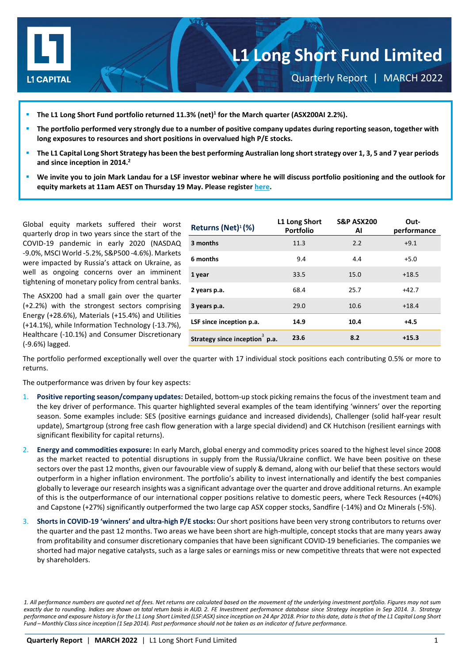

Quarterly Report | MARCH 2022

- **The L1 Long Short Fund portfolio returned 11.3% (net)1 for the March quarter (ASX200AI 2.2%).**
- **The portfolio performed very strongly due to a number of positive company updates during reporting season, together with long exposures to resources and short positions in overvalued high P/E stocks.**
- **The L1 Capital Long Short Strategy has been the best performing Australian long short strategy over 1, 3, 5 and 7 year periods and since inception in 2014.2**
- **We invite you to join Mark Landau for a LSF investor webinar where he will discuss portfolio positioning and the outlook for equity markets at 11am AEST on Thursday 19 May. Please registe[r here.](https://attendee.gotowebinar.com/register/6776283986628067088?source=LICQR)**

Global equity markets suffered their worst quarterly drop in two years since the start of the COVID-19 pandemic in early 2020 (NASDAQ -9.0%, MSCI World -5.2%, S&P500 -4.6%). Markets were impacted by Russia's attack on Ukraine, as well as ongoing concerns over an imminent tightening of monetary policy from central banks.

The ASX200 had a small gain over the quarter (+2.2%) with the strongest sectors comprising Energy (+28.6%), Materials (+15.4%) and Utilities (+14.1%), while Information Technology (-13.7%), Healthcare (-10.1%) and Consumer Discretionary (-9.6%) lagged.

| Returns (Net) <sup>1</sup> (%)             | L1 Long Short<br><b>Portfolio</b> | <b>S&amp;P ASX200</b><br>Al | Out-<br>performance |
|--------------------------------------------|-----------------------------------|-----------------------------|---------------------|
| 3 months                                   | 11.3                              | 2.2                         | $+9.1$              |
| 6 months                                   | 9.4                               | 4.4                         | $+5.0$              |
| 1 year                                     | 33.5                              | 15.0                        | $+18.5$             |
| 2 years p.a.                               | 68.4                              | 25.7                        | $+42.7$             |
| 3 years p.a.                               | 29.0                              | 10.6                        | $+18.4$             |
| LSF since inception p.a.                   | 14.9                              | 10.4                        | +4.5                |
| Strategy since inception <sup>3</sup> p.a. | 23.6                              | 8.2                         | $+15.3$             |

The portfolio performed exceptionally well over the quarter with 17 individual stock positions each contributing 0.5% or more to returns.

The outperformance was driven by four key aspects:

- 1. **Positive reporting season/company updates:** Detailed, bottom-up stock picking remains the focus of the investment team and the key driver of performance. This quarter highlighted several examples of the team identifying 'winners' over the reporting season. Some examples include: SES (positive earnings guidance and increased dividends), Challenger (solid half-year result update), Smartgroup (strong free cash flow generation with a large special dividend) and CK Hutchison (resilient earnings with significant flexibility for capital returns).
- 2. **Energy and commodities exposure:** In early March, global energy and commodity prices soared to the highest level since 2008 as the market reacted to potential disruptions in supply from the Russia/Ukraine conflict. We have been positive on these sectors over the past 12 months, given our favourable view of supply & demand, along with our belief that these sectors would outperform in a higher inflation environment. The portfolio's ability to invest internationally and identify the best companies globally to leverage our research insights was a significant advantage over the quarter and drove additional returns. An example of this is the outperformance of our international copper positions relative to domestic peers, where Teck Resources (+40%) and Capstone (+27%) significantly outperformed the two large cap ASX copper stocks, Sandfire (-14%) and Oz Minerals (-5%).
- 3. **Shorts in COVID-19 'winners' and ultra-high P/E stocks:** Our short positions have been very strong contributors to returns over the quarter and the past 12 months. Two areas we have been short are high-multiple, concept stocks that are many years away from profitability and consumer discretionary companies that have been significant COVID-19 beneficiaries. The companies we shorted had major negative catalysts, such as a large sales or earnings miss or new competitive threats that were not expected by shareholders.

*<sup>1.</sup> All performance numbers are quoted net of fees. Net returns are calculated based on the movement of the underlying investment portfolio. Figures may not sum exactly due to rounding. Indices are shown on total return basis in AUD. 2. FE Investment performance database since Strategy inception in Sep 2014. 3. Strategy* performance and exposure history is for the L1 Long Short Limited (LSF:ASX) since inception on 24 Apr 2018. Prior to this date, data is that of the L1 Capital Long Short *Fund – Monthly Classsince inception (1 Sep 2014). Past performance should not be taken as an indicator of future performance.*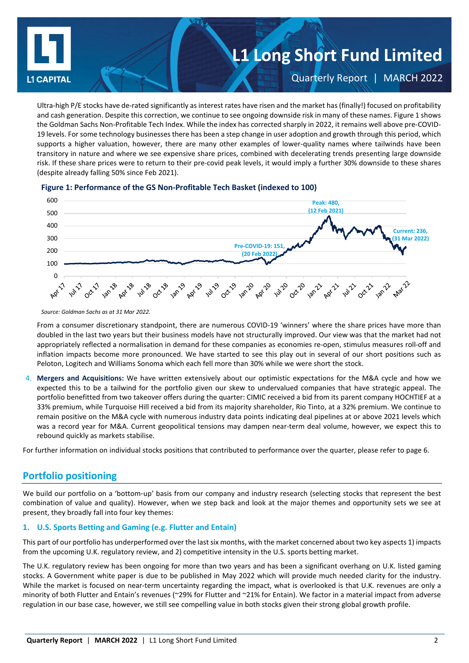

Ultra-high P/E stocks have de-rated significantly as interest rates have risen and the market has (finally!) focused on profitability and cash generation. Despite this correction, we continue to see ongoing downside risk in many of these names. Figure 1 shows the Goldman Sachs Non-Profitable Tech Index. While the index has corrected sharply in 2022, it remains well above pre-COVID-19 levels. For some technology businesses there has been a step change in user adoption and growth through this period, which supports a higher valuation, however, there are many other examples of lower-quality names where tailwinds have been transitory in nature and where we see expensive share prices, combined with decelerating trends presenting large downside risk. If these share prices were to return to their pre-covid peak levels, it would imply a further 30% downside to these shares (despite already falling 50% since Feb 2021).



### **Figure 1: Performance of the GS Non-Profitable Tech Basket (indexed to 100)**

From a consumer discretionary standpoint, there are numerous COVID-19 'winners' where the share prices have more than doubled in the last two years but their business models have not structurally improved. Our view was that the market had not appropriately reflected a normalisation in demand for these companies as economies re-open, stimulus measures roll-off and inflation impacts become more pronounced. We have started to see this play out in several of our short positions such as Peloton, Logitech and Williams Sonoma which each fell more than 30% while we were short the stock.

4. **Mergers and Acquisitions:** We have written extensively about our optimistic expectations for the M&A cycle and how we expected this to be a tailwind for the portfolio given our skew to undervalued companies that have strategic appeal. The portfolio benefitted from two takeover offers during the quarter: CIMIC received a bid from its parent company HOCHTIEF at a 33% premium, while Turquoise Hill received a bid from its majority shareholder, Rio Tinto, at a 32% premium. We continue to remain positive on the M&A cycle with numerous industry data points indicating deal pipelines at or above 2021 levels which was a record year for M&A. Current geopolitical tensions may dampen near-term deal volume, however, we expect this to rebound quickly as markets stabilise.

For further information on individual stocks positions that contributed to performance over the quarter, please refer to page 6.

# **Portfolio positioning**

We build our portfolio on a 'bottom-up' basis from our company and industry research (selecting stocks that represent the best combination of value and quality). However, when we step back and look at the major themes and opportunity sets we see at present, they broadly fall into four key themes:

# **1. U.S. Sports Betting and Gaming (e.g. Flutter and Entain)**

This part of our portfolio has underperformed over the last six months, with the market concerned about two key aspects 1) impacts from the upcoming U.K. regulatory review, and 2) competitive intensity in the U.S. sports betting market.

The U.K. regulatory review has been ongoing for more than two years and has been a significant overhang on U.K. listed gaming stocks. A Government white paper is due to be published in May 2022 which will provide much needed clarity for the industry. While the market is focused on near-term uncertainty regarding the impact, what is overlooked is that U.K. revenues are only a minority of both Flutter and Entain's revenues (~29% for Flutter and ~21% for Entain). We factor in a material impact from adverse regulation in our base case, however, we still see compelling value in both stocks given their strong global growth profile.

*Source: Goldman Sachs as at 31 Mar 2022.*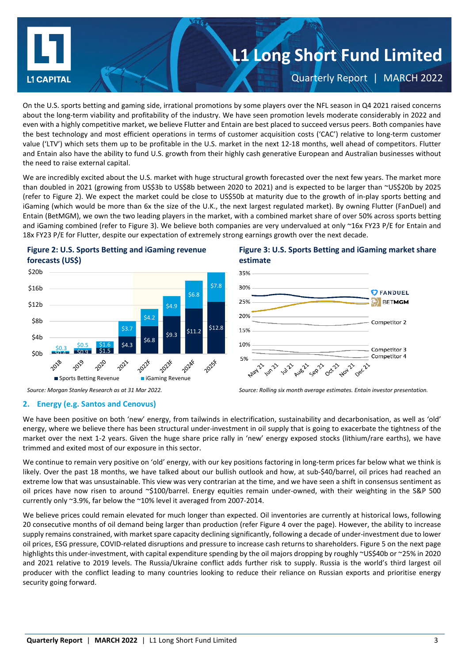

On the U.S. sports betting and gaming side, irrational promotions by some players over the NFL season in Q4 2021 raised concerns about the long-term viability and profitability of the industry. We have seen promotion levels moderate considerably in 2022 and even with a highly competitive market, we believe Flutter and Entain are best placed to succeed versus peers. Both companies have the best technology and most efficient operations in terms of customer acquisition costs ('CAC') relative to long-term customer value ('LTV') which sets them up to be profitable in the U.S. market in the next 12-18 months, well ahead of competitors. Flutter and Entain also have the ability to fund U.S. growth from their highly cash generative European and Australian businesses without the need to raise external capital.

We are incredibly excited about the U.S. market with huge structural growth forecasted over the next few years. The market more than doubled in 2021 (growing from US\$3b to US\$8b between 2020 to 2021) and is expected to be larger than ~US\$20b by 2025 (refer to Figure 2). We expect the market could be close to US\$50b at maturity due to the growth of in-play sports betting and iGaming (which would be more than 6x the size of the U.K., the next largest regulated market). By owning Flutter (FanDuel) and Entain (BetMGM), we own the two leading players in the market, with a combined market share of over 50% across sports betting and iGaming combined (refer to Figure 3). We believe both companies are very undervalued at only ~16x FY23 P/E for Entain and 18x FY23 P/E for Flutter, despite our expectation of extremely strong earnings growth over the next decade.





# **2. Energy (e.g. Santos and Cenovus)**

# We have been positive on both 'new' energy, from tailwinds in electrification, sustainability and decarbonisation, as well as 'old' energy, where we believe there has been structural under-investment in oil supply that is going to exacerbate the tightness of the market over the next 1-2 years. Given the huge share price rally in 'new' energy exposed stocks (lithium/rare earths), we have trimmed and exited most of our exposure in this sector.

We continue to remain very positive on 'old' energy, with our key positions factoring in long-term prices far below what we think is likely. Over the past 18 months, we have talked about our bullish outlook and how, at sub-\$40/barrel, oil prices had reached an extreme low that was unsustainable. This view was very contrarian at the time, and we have seen a shift in consensus sentiment as oil prices have now risen to around ~\$100/barrel. Energy equities remain under-owned, with their weighting in the S&P 500 currently only ~3.9%, far below the ~10% level it averaged from 2007-2014.

We believe prices could remain elevated for much longer than expected. Oil inventories are currently at historical lows, following 20 consecutive months of oil demand being larger than production (refer Figure 4 over the page). However, the ability to increase supply remains constrained, with market spare capacity declining significantly, following a decade of under-investment due to lower oil prices, ESG pressure, COVID-related disruptions and pressure to increase cash returns to shareholders. Figure 5 on the next page highlights this under-investment, with capital expenditure spending by the oil majors dropping by roughly ~US\$40b or ~25% in 2020 and 2021 relative to 2019 levels. The Russia/Ukraine conflict adds further risk to supply. Russia is the world's third largest oil producer with the conflict leading to many countries looking to reduce their reliance on Russian exports and prioritise energy security going forward.

# **Figure 3: U.S. Sports Betting and iGaming market share estimate**



*Source: Morgan Stanley Research as at 31 Mar 2022. Source: Rolling six month average estimates. Entain investor presentation.*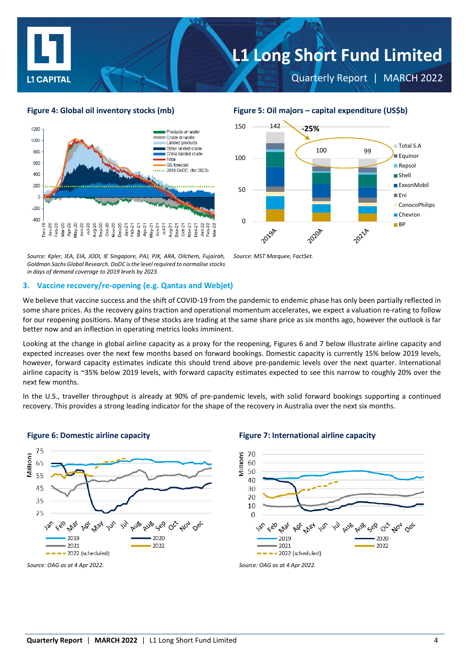

Quarterly Report | MARCH 2022



*Source: Kpler, IEA, EIA, JODI, IE Singapore, PAJ, PJK, ARA, Oilchem, Fujairah, Goldman Sachs Global Research. DoDC isthe level required to normalise stocks in days of demand coverage to 2019 levels by 2023.*

### **3. Vaccine recovery/re-opening (e.g. Qantas and Webjet)**

We believe that vaccine success and the shift of COVID-19 from the pandemic to endemic phase has only been partially reflected in some share prices. As the recovery gains traction and operational momentum accelerates, we expect a valuation re-rating to follow for our reopening positions. Many of these stocks are trading at the same share price as six months ago, however the outlook is far better now and an inflection in operating metrics looks imminent.

*Source: MST Marquee, FactSet.*

Looking at the change in global airline capacity as a proxy for the reopening, Figures 6 and 7 below illustrate airline capacity and expected increases over the next few months based on forward bookings. Domestic capacity is currently 15% below 2019 levels, however, forward capacity estimates indicate this should trend above pre-pandemic levels over the next quarter. International airline capacity is ~35% below 2019 levels, with forward capacity estimates expected to see this narrow to roughly 20% over the next few months.

In the U.S., traveller throughput is already at 90% of pre-pandemic levels, with solid forward bookings supporting a continued recovery. This provides a strong leading indicator for the shape of the recovery in Australia over the next six months.



### **Figure 6: Domestic airline capacity Figure 7: International airline capacity**



### **Figure 4: Global oil inventory stocks (mb) Figure 5: Oil majors – capital expenditure (US\$b)**

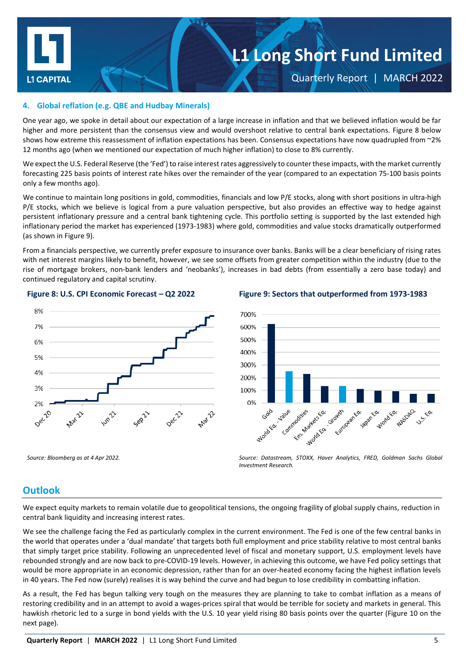

Quarterly Report | MARCH 2022

# **4. Global reflation (e.g. QBE and Hudbay Minerals)**

One year ago, we spoke in detail about our expectation of a large increase in inflation and that we believed inflation would be far higher and more persistent than the consensus view and would overshoot relative to central bank expectations. Figure 8 below shows how extreme this reassessment of inflation expectations has been. Consensus expectations have now quadrupled from ~2% 12 months ago (when we mentioned our expectation of much higher inflation) to close to 8% currently.

We expect the U.S. Federal Reserve (the 'Fed') to raise interestrates aggressively to counter these impacts, with the market currently forecasting 225 basis points of interest rate hikes over the remainder of the year (compared to an expectation 75-100 basis points only a few months ago).

We continue to maintain long positions in gold, commodities, financials and low P/E stocks, along with short positions in ultra-high P/E stocks, which we believe is logical from a pure valuation perspective, but also provides an effective way to hedge against persistent inflationary pressure and a central bank tightening cycle. This portfolio setting is supported by the last extended high inflationary period the market has experienced (1973-1983) where gold, commodities and value stocks dramatically outperformed (as shown in Figure 9).

From a financials perspective, we currently prefer exposure to insurance over banks. Banks will be a clear beneficiary of rising rates with net interest margins likely to benefit, however, we see some offsets from greater competition within the industry (due to the rise of mortgage brokers, non-bank lenders and 'neobanks'), increases in bad debts (from essentially a zero base today) and continued regulatory and capital scrutiny.





**Figure 8: U.S. CPI Economic Forecast – Q2 2022 Figure 9: Sectors that outperformed from 1973-1983**



*Source: Bloomberg as at 4 Apr 2022. Source: Datastream, STOXX, Haver Analytics, FRED, Goldman Sachs Global Investment Research.*

# **Outlook**

We expect equity markets to remain volatile due to geopolitical tensions, the ongoing fragility of global supply chains, reduction in central bank liquidity and increasing interest rates.

We see the challenge facing the Fed as particularly complex in the current environment. The Fed is one of the few central banks in the world that operates under a 'dual mandate' that targets both full employment and price stability relative to most central banks that simply target price stability. Following an unprecedented level of fiscal and monetary support, U.S. employment levels have rebounded strongly and are now back to pre-COVID-19 levels. However, in achieving this outcome, we have Fed policy settings that would be more appropriate in an economic depression, rather than for an over-heated economy facing the highest inflation levels in 40 years. The Fed now (surely) realises it is way behind the curve and had begun to lose credibility in combatting inflation.

As a result, the Fed has begun talking very tough on the measures they are planning to take to combat inflation as a means of restoring credibility and in an attempt to avoid a wages-prices spiral that would be terrible for society and markets in general. This hawkish rhetoric led to a surge in bond yields with the U.S. 10 year yield rising 80 basis points over the quarter (Figure 10 on the next page).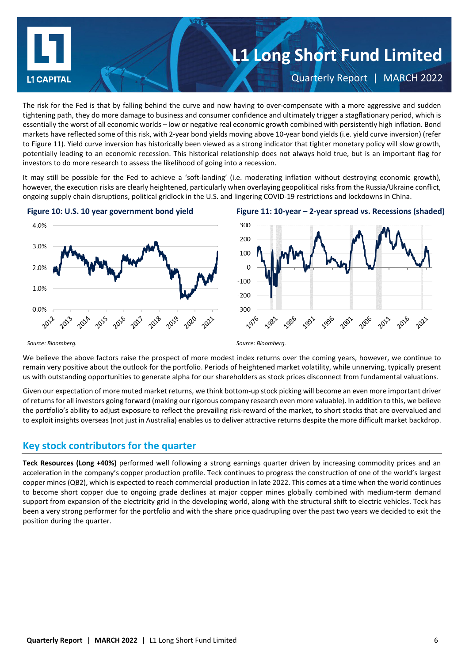

The risk for the Fed is that by falling behind the curve and now having to over-compensate with a more aggressive and sudden tightening path, they do more damage to business and consumer confidence and ultimately trigger a stagflationary period, which is essentially the worst of all economic worlds – low or negative real economic growth combined with persistently high inflation. Bond markets have reflected some of this risk, with 2-year bond yields moving above 10-year bond yields (i.e. yield curve inversion) (refer to Figure 11). Yield curve inversion has historically been viewed as a strong indicator that tighter monetary policy will slow growth, potentially leading to an economic recession. This historical relationship does not always hold true, but is an important flag for investors to do more research to assess the likelihood of going into a recession.

It may still be possible for the Fed to achieve a 'soft-landing' (i.e. moderating inflation without destroying economic growth), however, the execution risks are clearly heightened, particularly when overlaying geopolitical risks from the Russia/Ukraine conflict, ongoing supply chain disruptions, political gridlock in the U.S. and lingering COVID-19 restrictions and lockdowns in China.



### **Figure 10: U.S. 10 year government bond yield Figure 11: 10-year – 2-year spread vs. Recessions (shaded)**



*Source: Bloomberg. Source: Bloomberg.*

We believe the above factors raise the prospect of more modest index returns over the coming years, however, we continue to remain very positive about the outlook for the portfolio. Periods of heightened market volatility, while unnerving, typically present us with outstanding opportunities to generate alpha for our shareholders as stock prices disconnect from fundamental valuations.

Given our expectation of more muted market returns, we think bottom-up stock picking will become an even more important driver of returns for all investors going forward (making our rigorous company research even more valuable). In addition to this, we believe the portfolio's ability to adjust exposure to reflect the prevailing risk-reward of the market, to short stocks that are overvalued and to exploit insights overseas (not just in Australia) enables us to deliver attractive returns despite the more difficult market backdrop.

# **Key stock contributors for the quarter**

**Teck Resources (Long +40%)** performed well following a strong earnings quarter driven by increasing commodity prices and an acceleration in the company's copper production profile. Teck continues to progress the construction of one of the world's largest copper mines (QB2), which is expected to reach commercial production in late 2022. This comes at a time when the world continues to become short copper due to ongoing grade declines at major copper mines globally combined with medium-term demand support from expansion of the electricity grid in the developing world, along with the structural shift to electric vehicles. Teck has been a very strong performer for the portfolio and with the share price quadrupling over the past two years we decided to exit the position during the quarter.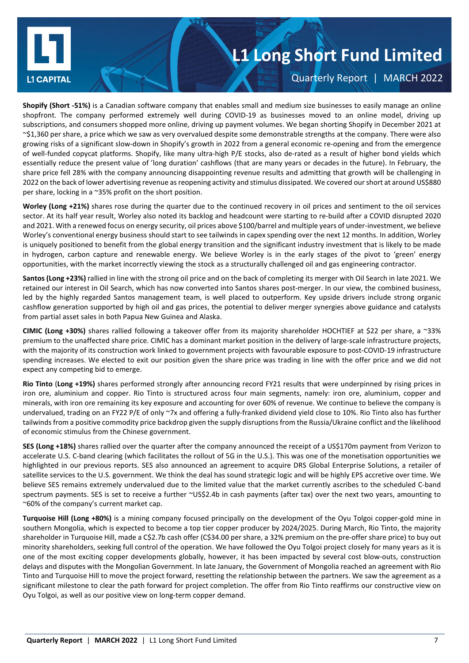

Quarterly Report | MARCH 2022

**Shopify (Short -51%)** is a Canadian software company that enables small and medium size businesses to easily manage an online shopfront. The company performed extremely well during COVID-19 as businesses moved to an online model, driving up subscriptions, and consumers shopped more online, driving up payment volumes. We began shorting Shopify in December 2021 at ~\$1,360 per share, a price which we saw as very overvalued despite some demonstrable strengths at the company. There were also growing risks of a significant slow-down in Shopify's growth in 2022 from a general economic re-opening and from the emergence of well-funded copycat platforms. Shopify, like many ultra-high P/E stocks, also de-rated as a result of higher bond yields which essentially reduce the present value of 'long duration' cashflows (that are many years or decades in the future). In February, the share price fell 28% with the company announcing disappointing revenue results and admitting that growth will be challenging in 2022 on the back of lower advertising revenue as reopening activity and stimulus dissipated. We covered our short at around US\$880 per share, locking in a ~35% profit on the short position.

**Worley (Long +21%)** shares rose during the quarter due to the continued recovery in oil prices and sentiment to the oil services sector. At its half year result, Worley also noted its backlog and headcount were starting to re-build after a COVID disrupted 2020 and 2021. With a renewed focus on energy security, oil prices above \$100/barrel and multiple years of under-investment, we believe Worley's conventional energy business should start to see tailwinds in capex spending over the next 12 months. In addition, Worley is uniquely positioned to benefit from the global energy transition and the significant industry investment that is likely to be made in hydrogen, carbon capture and renewable energy. We believe Worley is in the early stages of the pivot to 'green' energy opportunities, with the market incorrectly viewing the stock as a structurally challenged oil and gas engineering contractor.

**Santos (Long +23%)** rallied in line with the strong oil price and on the back of completing its merger with Oil Search in late 2021. We retained our interest in Oil Search, which has now converted into Santos shares post-merger. In our view, the combined business, led by the highly regarded Santos management team, is well placed to outperform. Key upside drivers include strong organic cashflow generation supported by high oil and gas prices, the potential to deliver merger synergies above guidance and catalysts from partial asset sales in both Papua New Guinea and Alaska.

**CIMIC (Long +30%)** shares rallied following a takeover offer from its majority shareholder HOCHTIEF at \$22 per share, a ~33% premium to the unaffected share price. CIMIC has a dominant market position in the delivery of large-scale infrastructure projects, with the majority of its construction work linked to government projects with favourable exposure to post-COVID-19 infrastructure spending increases. We elected to exit our position given the share price was trading in line with the offer price and we did not expect any competing bid to emerge.

**Rio Tinto** (**Long +19%)** shares performed strongly after announcing record FY21 results that were underpinned by rising prices in iron ore, aluminium and copper. Rio Tinto is structured across four main segments, namely: iron ore, aluminium, copper and minerals, with iron ore remaining its key exposure and accounting for over 60% of revenue. We continue to believe the company is undervalued, trading on an FY22 P/E of only ~7x and offering a fully-franked dividend yield close to 10%. Rio Tinto also has further tailwinds from a positive commodity price backdrop given the supply disruptions from the Russia/Ukraine conflict and the likelihood of economic stimulus from the Chinese government.

**SES (Long +18%)** shares rallied over the quarter after the company announced the receipt of a US\$170m payment from Verizon to accelerate U.S. C-band clearing (which facilitates the rollout of 5G in the U.S.). This was one of the monetisation opportunities we highlighted in our previous reports. SES also announced an agreement to acquire DRS Global Enterprise Solutions, a retailer of satellite services to the U.S. government. We think the deal has sound strategic logic and will be highly EPS accretive over time. We believe SES remains extremely undervalued due to the limited value that the market currently ascribes to the scheduled C-band spectrum payments. SES is set to receive a further ~US\$2.4b in cash payments (after tax) over the next two years, amounting to ~60% of the company's current market cap.

**Turquoise Hill (Long +80%)** is a mining company focused principally on the development of the Oyu Tolgoi copper-gold mine in southern Mongolia, which is expected to become a top tier copper producer by 2024/2025. During March, Rio Tinto, the majority shareholder in Turquoise Hill, made a C\$2.7b cash offer (C\$34.00 per share, a 32% premium on the pre-offer share price) to buy out minority shareholders, seeking full control of the operation. We have followed the Oyu Tolgoi project closely for many years as it is one of the most exciting copper developments globally, however, it has been impacted by several cost blow-outs, construction delays and disputes with the Mongolian Government. In late January, the Government of Mongolia reached an agreement with Rio Tinto and Turquoise Hill to move the project forward, resetting the relationship between the partners. We saw the agreement as a significant milestone to clear the path forward for project completion. The offer from Rio Tinto reaffirms our constructive view on Oyu Tolgoi, as well as our positive view on long-term copper demand.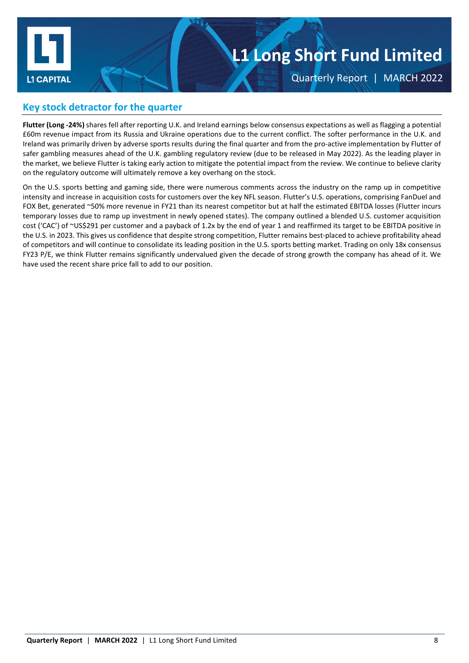

Quarterly Report | MARCH 2022

# **Key stock detractor for the quarter**

**Flutter (Long -24%)** shares fell after reporting U.K. and Ireland earnings below consensus expectations as well as flagging a potential £60m revenue impact from its Russia and Ukraine operations due to the current conflict. The softer performance in the U.K. and Ireland was primarily driven by adverse sports results during the final quarter and from the pro-active implementation by Flutter of safer gambling measures ahead of the U.K. gambling regulatory review (due to be released in May 2022). As the leading player in the market, we believe Flutter is taking early action to mitigate the potential impact from the review. We continue to believe clarity on the regulatory outcome will ultimately remove a key overhang on the stock.

On the U.S. sports betting and gaming side, there were numerous comments across the industry on the ramp up in competitive intensity and increase in acquisition costs for customers over the key NFL season. Flutter's U.S. operations, comprising FanDuel and FOX Bet, generated ~50% more revenue in FY21 than its nearest competitor but at half the estimated EBITDA losses (Flutter incurs temporary losses due to ramp up investment in newly opened states). The company outlined a blended U.S. customer acquisition cost ('CAC') of ~US\$291 per customer and a payback of 1.2x by the end of year 1 and reaffirmed its target to be EBITDA positive in the U.S. in 2023. This gives us confidence that despite strong competition, Flutter remains best-placed to achieve profitability ahead of competitors and will continue to consolidate its leading position in the U.S. sports betting market. Trading on only 18x consensus FY23 P/E, we think Flutter remains significantly undervalued given the decade of strong growth the company has ahead of it. We have used the recent share price fall to add to our position.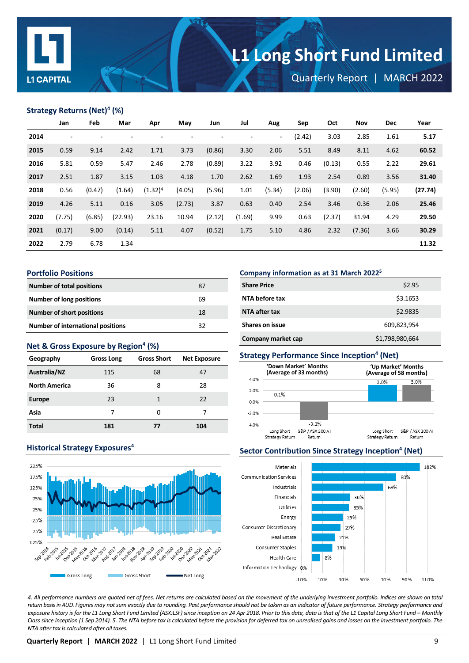

Quarterly Report | MARCH 2022

### **Strategy Returns (Net)4 (%)**

|      | Jan    | Feb    | Mar     | Apr        | May    | Jun                      | Jul                      | Aug    | Sep    | Oct    | <b>Nov</b> | <b>Dec</b> | Year    |
|------|--------|--------|---------|------------|--------|--------------------------|--------------------------|--------|--------|--------|------------|------------|---------|
| 2014 | ۰      | ٠      |         | ٠          |        | $\overline{\phantom{a}}$ | $\overline{\phantom{a}}$ | $\sim$ | (2.42) | 3.03   | 2.85       | 1.61       | 5.17    |
| 2015 | 0.59   | 9.14   | 2.42    | 1.71       | 3.73   | (0.86)                   | 3.30                     | 2.06   | 5.51   | 8.49   | 8.11       | 4.62       | 60.52   |
| 2016 | 5.81   | 0.59   | 5.47    | 2.46       | 2.78   | (0.89)                   | 3.22                     | 3.92   | 0.46   | (0.13) | 0.55       | 2.22       | 29.61   |
| 2017 | 2.51   | 1.87   | 3.15    | 1.03       | 4.18   | 1.70                     | 2.62                     | 1.69   | 1.93   | 2.54   | 0.89       | 3.56       | 31.40   |
| 2018 | 0.56   | (0.47) | (1.64)  | $(1.32)^4$ | (4.05) | (5.96)                   | 1.01                     | (5.34) | (2.06) | (3.90) | (2.60)     | (5.95)     | (27.74) |
| 2019 | 4.26   | 5.11   | 0.16    | 3.05       | (2.73) | 3.87                     | 0.63                     | 0.40   | 2.54   | 3.46   | 0.36       | 2.06       | 25.46   |
| 2020 | (7.75) | (6.85) | (22.93) | 23.16      | 10.94  | (2.12)                   | (1.69)                   | 9.99   | 0.63   | (2.37) | 31.94      | 4.29       | 29.50   |
| 2021 | (0.17) | 9.00   | (0.14)  | 5.11       | 4.07   | (0.52)                   | 1.75                     | 5.10   | 4.86   | 2.32   | (7.36)     | 3.66       | 30.29   |
| 2022 | 2.79   | 6.78   | 1.34    |            |        |                          |                          |        |        |        |            |            | 11.32   |

#### **Portfolio Positions**

| <b>Number of total positions</b>         | 87 |
|------------------------------------------|----|
| Number of long positions                 | 69 |
| <b>Number of short positions</b>         | 18 |
| <b>Number of international positions</b> | 32 |

### **Net & Gross Exposure by Region4 (%)**

| Geography            | <b>Gross Long</b> | <b>Gross Short</b> | <b>Net Exposure</b> |
|----------------------|-------------------|--------------------|---------------------|
| Australia/NZ         | 115               | 68                 | 47                  |
| <b>North America</b> | 36                | 8                  | 28                  |
| <b>Europe</b>        | 23                | 1                  | 22                  |
| Asia                 | 7                 | O                  |                     |
| <b>Total</b>         | 181               | 77                 | 104                 |

### **Company information as at 31 March 20225**

| <b>Share Price</b>     | \$2.95          |
|------------------------|-----------------|
| NTA before tax         | \$3.1653        |
| NTA after tax          | \$2.9835        |
| <b>Shares on issue</b> | 609,823,954     |
| Company market cap     | \$1,798,980,664 |

# **Strategy Performance Since Inception4 (Net)**



# **Sector Contribution Since Strategy Inception<sup>4</sup> (Net)**



*4. All performance numbers are quoted net of fees. Net returns are calculated based on the movement of the underlying investment portfolio. Indices are shown on total return basis in AUD. Figures may not sum exactly due to rounding. Past performance should not be taken as an indicator of future performance. Strategy performance and exposure history is for the L1 Long Short Fund Limited (ASX:LSF) since inception on 24 Apr 2018. Prior to this date, data is that of the L1 Capital Long Short Fund – Monthly Class since inception (1 Sep 2014). 5. The NTA before tax is calculated before the provision for deferred tax on unrealised gains and losses on the investment portfolio. The NTA after tax is calculated after all taxes.*

### **Historical Strategy Exposures<sup>4</sup>**

May 2016 **D16** 2016

Gross Long

Anar-2017

**017 -2017 017 -2018 DIB ADB** 

**Dec- May** 

225%

175%

125%

75%

25%

 $-25%$ 

 $-75%$ 

 $-125%$ 

Sep<sup>2014</sup> **1014 2015 015-2015**  Apr-1019

Gep-2019 Feb-2020

Alov-2018

Gross Short

2020-2020

**020 1020** 

**2021-2022** 

Anar Oct-2021

Net Long